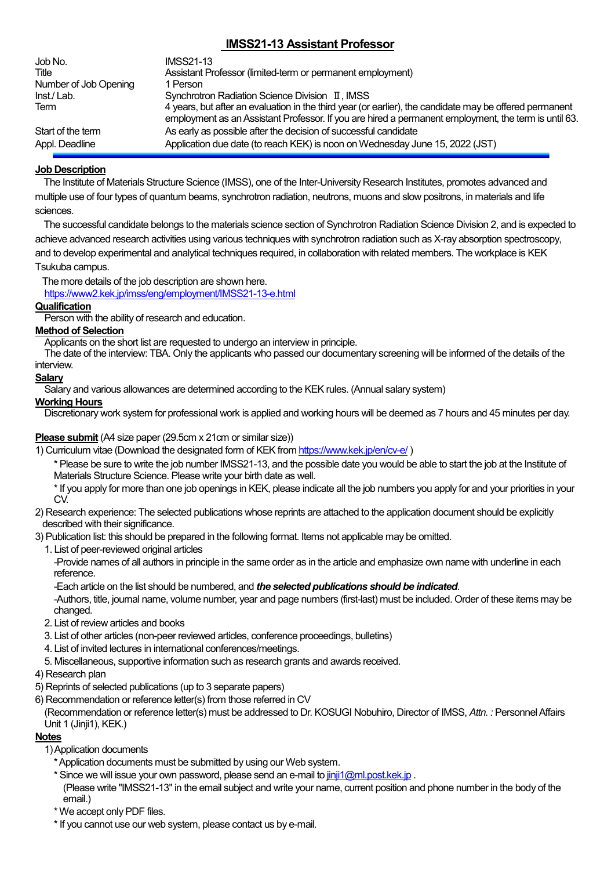# **IMSS21-13 Assistant Professor**

| Job No.<br>Title      | <b>IMSS21-13</b><br>Assistant Professor (limited-term or permanent employment)                                                                                                                                  |
|-----------------------|-----------------------------------------------------------------------------------------------------------------------------------------------------------------------------------------------------------------|
| Number of Job Opening | 1 Person                                                                                                                                                                                                        |
| Inst./Lab.            | Synchrotron Radiation Science Division II, IMSS                                                                                                                                                                 |
| Term                  | 4 years, but after an evaluation in the third year (or earlier), the candidate may be offered permanent<br>employment as an Assistant Professor. If you are hired a permanent employment, the term is until 63. |
| Start of the term     | As early as possible after the decision of successful candidate                                                                                                                                                 |
| Appl. Deadline        | Application due date (to reach KEK) is noon on Wednesday June 15, 2022 (JST)                                                                                                                                    |

# **Job Description**

The Institute of Materials Structure Science (IMSS), one of the Inter-University Research Institutes, promotes advanced and multiple use of four types of quantum beams, synchrotron radiation, neutrons, muons and slow positrons, in materials and life sciences.

The successful candidate belongs to the materials science section of Synchrotron Radiation Science Division 2, and is expected to achieve advanced research activities using various techniques with synchrotron radiation such as X-ray absorption spectroscopy, and to develop experimental and analytical techniques required, in collaboration with related members. The workplace is KEK Tsukuba campus.

The more details of the job description are shown here.

<https://www2.kek.jp/imss/eng/employment/IMSS21-13-e.html>

# **Qualification**

Person with the ability of research and education.

### **Method of Selection**

Applicants on the short list are requested to undergo an interview in principle.

The date of the interview: TBA. Only the applicants who passed our documentary screening will be informed of the details of the interview.

# **Salary**

Salary and various allowances are determined according to the KEK rules. (Annual salary system)

### **Working Hours**

Discretionary work system for professional work is applied and working hours will be deemed as 7 hours and 45 minutes per day.

# **Please submit** (A4 size paper (29.5cm x 21cm or similar size))

1) Curriculum vitae (Download the designated form of KEK from <https://www.kek.jp/en/cv-e/> )

\* Please be sure to write the job number IMSS21-13, and the possible date you would be able to start the job at the Institute of Materials Structure Science. Please write your birth date as well.

\* If you apply for more than one job openings in KEK, please indicate all the job numbers you apply for and your priorities in your CV.

2) Research experience: The selected publications whose reprints are attached to the application document should be explicitly described with their significance.

3) Publication list: this should be prepared in the following format. Items not applicable may be omitted.

1. List of peer-reviewed original articles

-Provide names of all authors in principle in the same order as in the article and emphasize own name with underline in each reference.

-Each article on the list should be numbered, and *the selected publications should be indicated*.

-Authors, title, journal name, volume number, year and page numbers (first-last) must be included. Order of these items may be changed.

- 2. List of review articles and books
- 3. List of other articles (non-peer reviewed articles, conference proceedings, bulletins)
- 4. List of invited lectures in international conferences/meetings.
- 5. Miscellaneous, supportive information such as research grants and awards received.
- 4) Research plan
- 5) Reprints of selected publications (up to 3 separate papers)
- 6) Recommendation or reference letter(s) from those referred in CV

(Recommendation or reference letter(s) must be addressed to Dr. KOSUGI Nobuhiro, Director of IMSS, *Attn. :* Personnel Affairs Unit 1 (Jinji1), KEK.)

### **Notes**

1) Application documents

- \* Application documents must be submitted by using our Web system.
- \* Since we will issue your own password, please send an e-mail t[o jinji1@ml.post.kek.jp](mailto:jinji1@ml.post.kek.jp) . (Please write "IMSS21-13" in the email subject and write your name, current position and phone number in the body of the email.)
- \*We accept only PDF files.
- \* If you cannot use our web system, please contact us by e-mail.